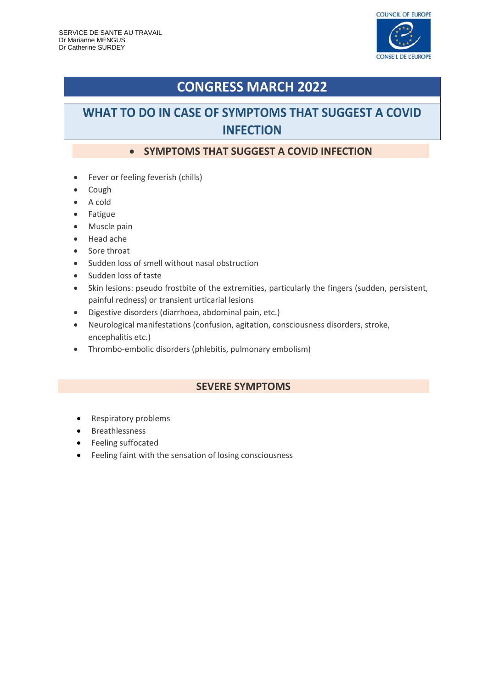

# **CONGRESS MARCH 2022**

## WHAT TO DO IN CASE OF SYMPTOMS THAT SUGGEST A COVID **INFECTION**

### **• SYMPTOMS THAT SUGGEST A COVID INFECTION**

- Fever or feeling feverish (chills)
- Cough
- A cold
- Fatigue
- Muscle pain
- Head ache
- Sore throat
- Sudden loss of smell without nasal obstruction
- Sudden loss of taste
- Skin lesions: pseudo frostbite of the extremities, particularly the fingers (sudden, persistent, painful redness) or transient urticarial lesions
- Digestive disorders (diarrhoea, abdominal pain, etc.)
- Neurological manifestations (confusion, agitation, consciousness disorders, stroke, encephalitis etc.)
- Thrombo-embolic disorders (phlebitis, pulmonary embolism)

### **SEVERE SYMPTOMS**

- Respiratory problems
- **•** Breathlessness
- Feeling suffocated
- Feeling faint with the sensation of losing consciousness